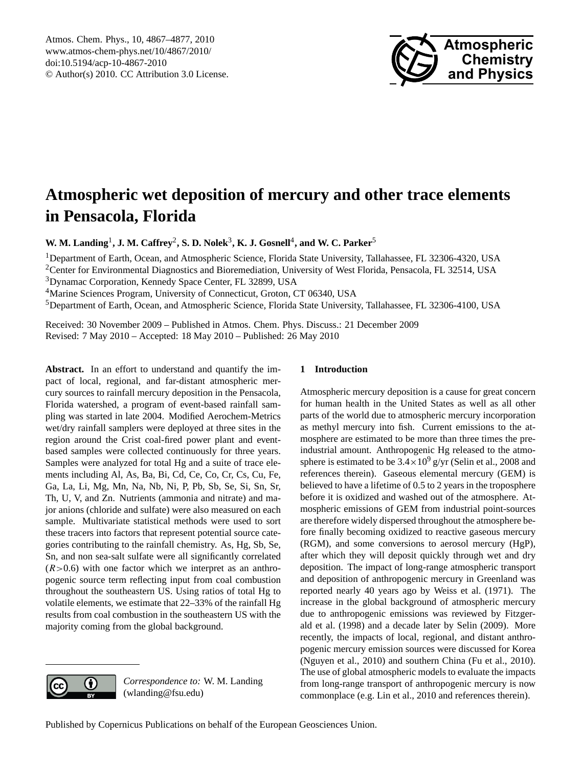

# <span id="page-0-0"></span>**Atmospheric wet deposition of mercury and other trace elements in Pensacola, Florida**

**W. M. Landing<sup>1</sup>, J. M. Caffrey<sup>2</sup>, S. D. Nolek<sup>3</sup>, <b>K. J.** Gosnell<sup>4</sup>, and W. C. Parker<sup>5</sup>

<sup>1</sup>Department of Earth, Ocean, and Atmospheric Science, Florida State University, Tallahassee, FL 32306-4320, USA

<sup>2</sup>Center for Environmental Diagnostics and Bioremediation, University of West Florida, Pensacola, FL 32514, USA <sup>3</sup>Dynamac Corporation, Kennedy Space Center, FL 32899, USA

<sup>4</sup>Marine Sciences Program, University of Connecticut, Groton, CT 06340, USA

<sup>5</sup>Department of Earth, Ocean, and Atmospheric Science, Florida State University, Tallahassee, FL 32306-4100, USA

Received: 30 November 2009 – Published in Atmos. Chem. Phys. Discuss.: 21 December 2009 Revised: 7 May 2010 – Accepted: 18 May 2010 – Published: 26 May 2010

**Abstract.** In an effort to understand and quantify the impact of local, regional, and far-distant atmospheric mercury sources to rainfall mercury deposition in the Pensacola, Florida watershed, a program of event-based rainfall sampling was started in late 2004. Modified Aerochem-Metrics wet/dry rainfall samplers were deployed at three sites in the region around the Crist coal-fired power plant and eventbased samples were collected continuously for three years. Samples were analyzed for total Hg and a suite of trace elements including Al, As, Ba, Bi, Cd, Ce, Co, Cr, Cs, Cu, Fe, Ga, La, Li, Mg, Mn, Na, Nb, Ni, P, Pb, Sb, Se, Si, Sn, Sr, Th, U, V, and Zn. Nutrients (ammonia and nitrate) and major anions (chloride and sulfate) were also measured on each sample. Multivariate statistical methods were used to sort these tracers into factors that represent potential source categories contributing to the rainfall chemistry. As, Hg, Sb, Se, Sn, and non sea-salt sulfate were all significantly correlated  $(R>0.6)$  with one factor which we interpret as an anthropogenic source term reflecting input from coal combustion throughout the southeastern US. Using ratios of total Hg to volatile elements, we estimate that 22–33% of the rainfall Hg results from coal combustion in the southeastern US with the majority coming from the global background.

## **1 Introduction**

Atmospheric mercury deposition is a cause for great concern for human health in the United States as well as all other parts of the world due to atmospheric mercury incorporation as methyl mercury into fish. Current emissions to the atmosphere are estimated to be more than three times the preindustrial amount. Anthropogenic Hg released to the atmosphere is estimated to be  $3.4 \times 10^9$  g/yr (Selin et al., 2008 and references therein). Gaseous elemental mercury (GEM) is believed to have a lifetime of 0.5 to 2 years in the troposphere before it is oxidized and washed out of the atmosphere. Atmospheric emissions of GEM from industrial point-sources are therefore widely dispersed throughout the atmosphere before finally becoming oxidized to reactive gaseous mercury (RGM), and some conversions to aerosol mercury (HgP), after which they will deposit quickly through wet and dry deposition. The impact of long-range atmospheric transport and deposition of anthropogenic mercury in Greenland was reported nearly 40 years ago by Weiss et al. (1971). The increase in the global background of atmospheric mercury due to anthropogenic emissions was reviewed by Fitzgerald et al. (1998) and a decade later by Selin (2009). More recently, the impacts of local, regional, and distant anthropogenic mercury emission sources were discussed for Korea (Nguyen et al., 2010) and southern China (Fu et al., 2010). The use of global atmospheric models to evaluate the impacts from long-range transport of anthropogenic mercury is now commonplace (e.g. Lin et al., 2010 and references therein).



*Correspondence to:* W. M. Landing (wlanding@fsu.edu)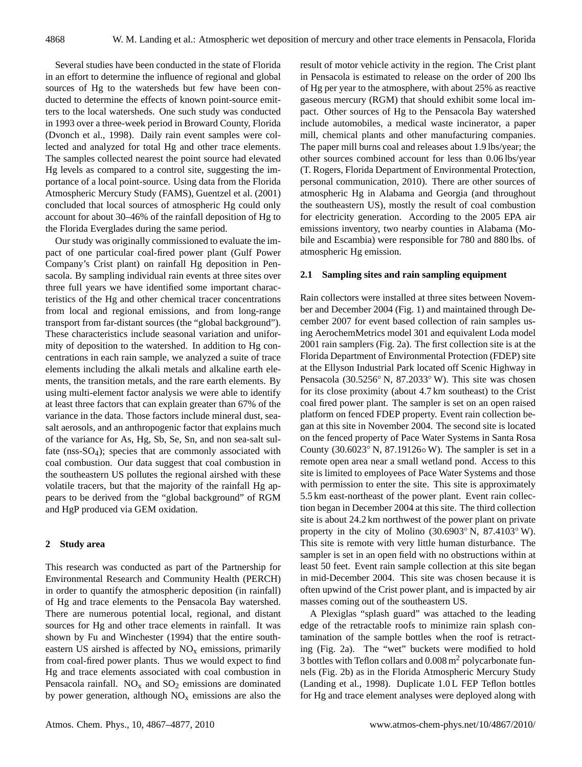Several studies have been conducted in the state of Florida in an effort to determine the influence of regional and global sources of Hg to the watersheds but few have been conducted to determine the effects of known point-source emitters to the local watersheds. One such study was conducted in 1993 over a three-week period in Broward County, Florida (Dvonch et al., 1998). Daily rain event samples were collected and analyzed for total Hg and other trace elements. The samples collected nearest the point source had elevated Hg levels as compared to a control site, suggesting the importance of a local point-source. Using data from the Florida Atmospheric Mercury Study (FAMS), Guentzel et al. (2001) concluded that local sources of atmospheric Hg could only account for about 30–46% of the rainfall deposition of Hg to the Florida Everglades during the same period.

Our study was originally commissioned to evaluate the impact of one particular coal-fired power plant (Gulf Power Company's Crist plant) on rainfall Hg deposition in Pensacola. By sampling individual rain events at three sites over three full years we have identified some important characteristics of the Hg and other chemical tracer concentrations from local and regional emissions, and from long-range transport from far-distant sources (the "global background"). These characteristics include seasonal variation and uniformity of deposition to the watershed. In addition to Hg concentrations in each rain sample, we analyzed a suite of trace elements including the alkali metals and alkaline earth elements, the transition metals, and the rare earth elements. By using multi-element factor analysis we were able to identify at least three factors that can explain greater than 67% of the variance in the data. Those factors include mineral dust, seasalt aerosols, and an anthropogenic factor that explains much of the variance for As, Hg, Sb, Se, Sn, and non sea-salt sulfate (nss-SO4); species that are commonly associated with coal combustion. Our data suggest that coal combustion in the southeastern US pollutes the regional airshed with these volatile tracers, but that the majority of the rainfall Hg appears to be derived from the "global background" of RGM and HgP produced via GEM oxidation.

#### **2 Study area**

This research was conducted as part of the Partnership for Environmental Research and Community Health (PERCH) in order to quantify the atmospheric deposition (in rainfall) of Hg and trace elements to the Pensacola Bay watershed. There are numerous potential local, regional, and distant sources for Hg and other trace elements in rainfall. It was shown by Fu and Winchester (1994) that the entire southeastern US airshed is affected by  $NO<sub>x</sub>$  emissions, primarily from coal-fired power plants. Thus we would expect to find Hg and trace elements associated with coal combustion in Pensacola rainfall.  $NO<sub>x</sub>$  and  $SO<sub>2</sub>$  emissions are dominated by power generation, although  $NO<sub>x</sub>$  emissions are also the result of motor vehicle activity in the region. The Crist plant in Pensacola is estimated to release on the order of 200 lbs of Hg per year to the atmosphere, with about 25% as reactive gaseous mercury (RGM) that should exhibit some local impact. Other sources of Hg to the Pensacola Bay watershed include automobiles, a medical waste incinerator, a paper mill, chemical plants and other manufacturing companies. The paper mill burns coal and releases about 1.9 lbs/year; the other sources combined account for less than 0.06 lbs/year (T. Rogers, Florida Department of Environmental Protection, personal communication, 2010). There are other sources of atmospheric Hg in Alabama and Georgia (and throughout the southeastern US), mostly the result of coal combustion for electricity generation. According to the 2005 EPA air emissions inventory, two nearby counties in Alabama (Mobile and Escambia) were responsible for 780 and 880 lbs. of atmospheric Hg emission.

#### **2.1 Sampling sites and rain sampling equipment**

Rain collectors were installed at three sites between November and December 2004 (Fig. 1) and maintained through December 2007 for event based collection of rain samples using AerochemMetrics model 301 and equivalent Loda model 2001 rain samplers (Fig. 2a). The first collection site is at the Florida Department of Environmental Protection (FDEP) site at the Ellyson Industrial Park located off Scenic Highway in Pensacola (30.5256◦ N, 87.2033◦ W). This site was chosen for its close proximity (about 4.7 km southeast) to the Crist coal fired power plant. The sampler is set on an open raised platform on fenced FDEP property. Event rain collection began at this site in November 2004. The second site is located on the fenced property of Pace Water Systems in Santa Rosa County (30.6023◦ N, 87.19126◦ W). The sampler is set in a remote open area near a small wetland pond. Access to this site is limited to employees of Pace Water Systems and those with permission to enter the site. This site is approximately 5.5 km east-northeast of the power plant. Event rain collection began in December 2004 at this site. The third collection site is about 24.2 km northwest of the power plant on private property in the city of Molino (30.6903◦ N, 87.4103◦ W). This site is remote with very little human disturbance. The sampler is set in an open field with no obstructions within at least 50 feet. Event rain sample collection at this site began in mid-December 2004. This site was chosen because it is often upwind of the Crist power plant, and is impacted by air masses coming out of the southeastern US.

A Plexiglas "splash guard" was attached to the leading edge of the retractable roofs to minimize rain splash contamination of the sample bottles when the roof is retracting (Fig. 2a). The "wet" buckets were modified to hold 3 bottles with Teflon collars and  $0.008 \text{ m}^2$  polycarbonate funnels (Fig. 2b) as in the Florida Atmospheric Mercury Study (Landing et al., 1998). Duplicate 1.0 L FEP Teflon bottles for Hg and trace element analyses were deployed along with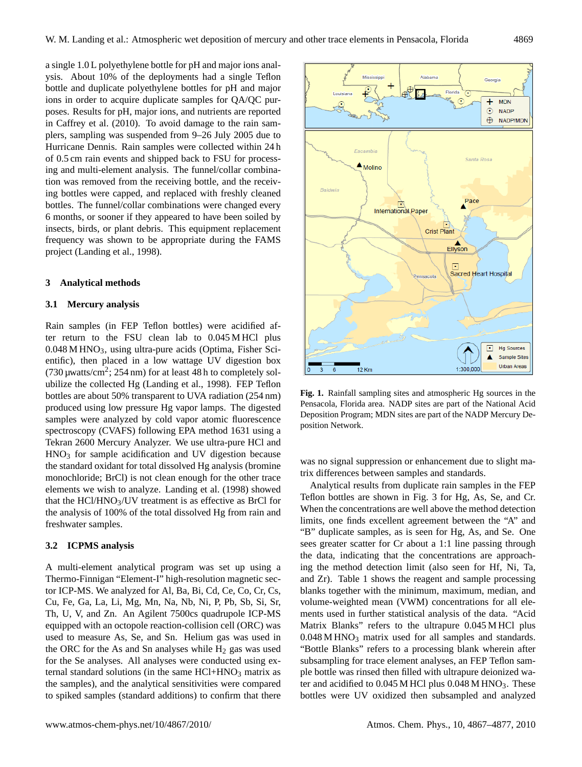a single 1.0 L polyethylene bottle for pH and major ions analysis. About 10% of the deployments had a single Teflon bottle and duplicate polyethylene bottles for pH and major ions in order to acquire duplicate samples for QA/QC purposes. Results for pH, major ions, and nutrients are reported in Caffrey et al. (2010). To avoid damage to the rain samplers, sampling was suspended from 9–26 July 2005 due to Hurricane Dennis. Rain samples were collected within 24 h of 0.5 cm rain events and shipped back to FSU for processing and multi-element analysis. The funnel/collar combination was removed from the receiving bottle, and the receiving bottles were capped, and replaced with freshly cleaned bottles. The funnel/collar combinations were changed every 6 months, or sooner if they appeared to have been soiled by insects, birds, or plant debris. This equipment replacement frequency was shown to be appropriate during the FAMS project (Landing et al., 1998).

#### **3 Analytical methods**

### **3.1 Mercury analysis**

Rain samples (in FEP Teflon bottles) were acidified after return to the FSU clean lab to 0.045 M HCl plus  $0.048$  M HNO<sub>3</sub>, using ultra-pure acids (Optima, Fisher Scientific), then placed in a low wattage UV digestion box (730  $\mu$ watts/cm<sup>2</sup>; 254 nm) for at least 48 h to completely solubilize the collected Hg (Landing et al., 1998). FEP Teflon bottles are about 50% transparent to UVA radiation (254 nm) produced using low pressure Hg vapor lamps. The digested samples were analyzed by cold vapor atomic fluorescence spectroscopy (CVAFS) following EPA method 1631 using a Tekran 2600 Mercury Analyzer. We use ultra-pure HCl and  $HNO<sub>3</sub>$  for sample acidification and UV digestion because the standard oxidant for total dissolved Hg analysis (bromine monochloride; BrCl) is not clean enough for the other trace elements we wish to analyze. Landing et al. (1998) showed that the  $HC1/HNO<sub>3</sub>/UV$  treatment is as effective as BrCl for the analysis of 100% of the total dissolved Hg from rain and freshwater samples.

#### **3.2 ICPMS analysis**

A multi-element analytical program was set up using a Thermo-Finnigan "Element-I" high-resolution magnetic sector ICP-MS. We analyzed for Al, Ba, Bi, Cd, Ce, Co, Cr, Cs, Cu, Fe, Ga, La, Li, Mg, Mn, Na, Nb, Ni, P, Pb, Sb, Si, Sr, Th, U, V, and Zn. An Agilent 7500cs quadrupole ICP-MS equipped with an octopole reaction-collision cell (ORC) was used to measure As, Se, and Sn. Helium gas was used in the ORC for the As and Sn analyses while  $H_2$  gas was used for the Se analyses. All analyses were conducted using external standard solutions (in the same  $HCl+HNO<sub>3</sub>$  matrix as the samples), and the analytical sensitivities were compared to spiked samples (standard additions) to confirm that there



**Fig. 1.** Rainfall sampling sites and atmospheric Hg sources in the Pensacola, Florida area. NADP sites are part of the National Acid Deposition Program; MDN sites are part of the NADP Mercury Deposition Network.

was no signal suppression or enhancement due to slight matrix differences between samples and standards.

Analytical results from duplicate rain samples in the FEP Teflon bottles are shown in Fig. 3 for Hg, As, Se, and Cr. When the concentrations are well above the method detection limits, one finds excellent agreement between the "A" and "B" duplicate samples, as is seen for Hg, As, and Se. One sees greater scatter for Cr about a 1:1 line passing through the data, indicating that the concentrations are approaching the method detection limit (also seen for Hf, Ni, Ta, and Zr). Table 1 shows the reagent and sample processing blanks together with the minimum, maximum, median, and volume-weighted mean (VWM) concentrations for all elements used in further statistical analysis of the data. "Acid Matrix Blanks" refers to the ultrapure 0.045 M HCl plus  $0.048$  M HNO<sub>3</sub> matrix used for all samples and standards. "Bottle Blanks" refers to a processing blank wherein after subsampling for trace element analyses, an FEP Teflon sample bottle was rinsed then filled with ultrapure deionized water and acidified to  $0.045$  M HCl plus  $0.048$  M HNO<sub>3</sub>. These bottles were UV oxidized then subsampled and analyzed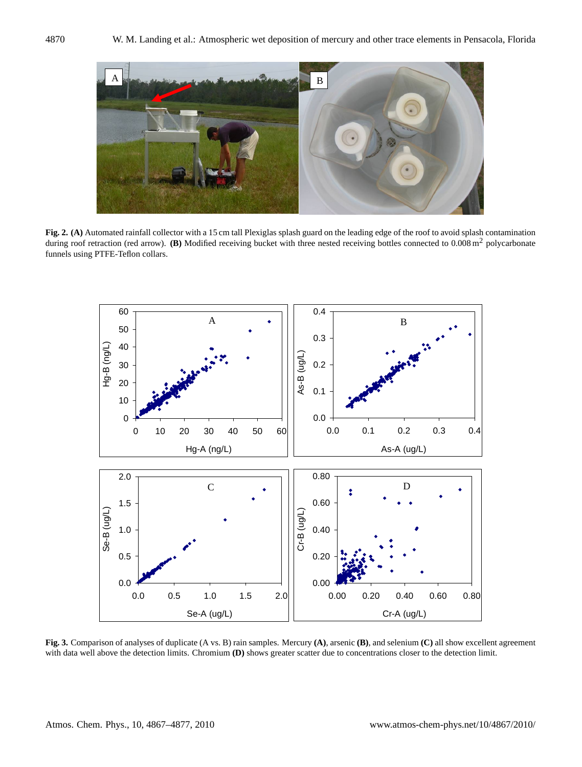

**Fig. 2. (A)** Automated rainfall collector with a 15 cm tall Plexiglas splash guard on the leading edge of the roof to avoid splash contamination during roof retraction (red arrow). **(B)** Modified receiving bucket with three nested receiving bottles connected to 0.008 m<sup>2</sup> polycarbonate funnels using PTFE-Teflon collars.



**Fig. 3.** Comparison of analyses of duplicate (A vs. B) rain samples. Mercury **(A)**, arsenic **(B)**, and selenium **(C)** all show excellent agreement with data well above the detection limits. Chromium **(D)** shows greater scatter due to concentrations closer to the detection limit.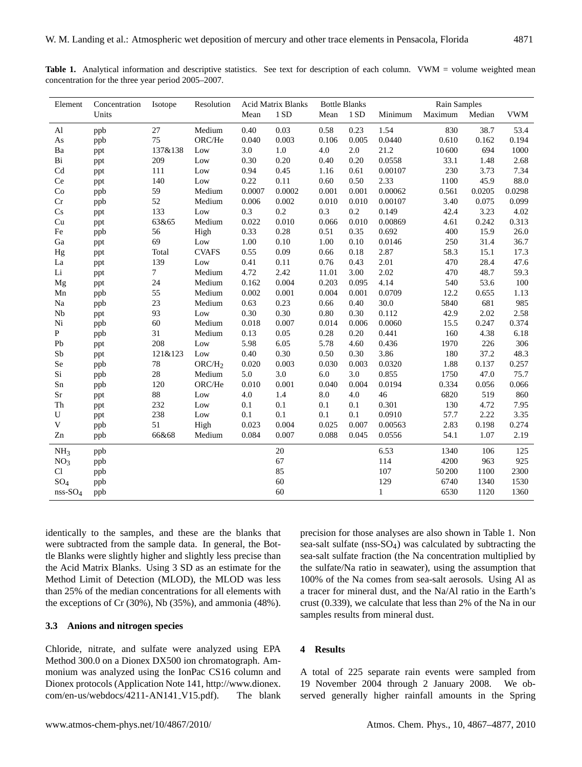|                                                    | <b>Table 1.</b> Analytical information and descriptive statistics. See text for description of each column. VWM = volume weighted mean |  |  |
|----------------------------------------------------|----------------------------------------------------------------------------------------------------------------------------------------|--|--|
| concentration for the three year period 2005–2007. |                                                                                                                                        |  |  |

| Element         | Concentration | Isotope         | Resolution         |        | <b>Acid Matrix Blanks</b> | <b>Bottle Blanks</b> |       | Rain Samples |         |        |            |
|-----------------|---------------|-----------------|--------------------|--------|---------------------------|----------------------|-------|--------------|---------|--------|------------|
|                 | Units         |                 |                    | Mean   | 1 SD                      | Mean                 | 1 SD  | Minimum      | Maximum | Median | <b>VWM</b> |
| $\mathbf{A}$ l  | ppb           | 27              | Medium             | 0.40   | 0.03                      | 0.58                 | 0.23  | 1.54         | 830     | 38.7   | 53.4       |
| As              | ppb           | 75              | ORC/He             | 0.040  | 0.003                     | 0.106                | 0.005 | 0.0440       | 0.610   | 0.162  | 0.194      |
| Ba              | ppt           | 137&138         | Low                | 3.0    | 1.0                       | 4.0                  | 2.0   | 21.2         | 10600   | 694    | 1000       |
| Bi              | ppt           | 209             | Low                | 0.30   | 0.20                      | 0.40                 | 0.20  | 0.0558       | 33.1    | 1.48   | 2.68       |
| Cd              | ppt           | 111             | Low                | 0.94   | 0.45                      | 1.16                 | 0.61  | 0.00107      | 230     | 3.73   | 7.34       |
| Ce              | ppt           | 140             | Low                | 0.22   | 0.11                      | 0.60                 | 0.50  | 2.33         | 1100    | 45.9   | 88.0       |
| Co              | ppb           | 59              | Medium             | 0.0007 | 0.0002                    | 0.001                | 0.001 | 0.00062      | 0.561   | 0.0205 | 0.0298     |
| Cr              | ppb           | 52              | Medium             | 0.006  | 0.002                     | 0.010                | 0.010 | 0.00107      | 3.40    | 0.075  | 0.099      |
| Cs              | ppt           | 133             | Low                | 0.3    | 0.2                       | 0.3                  | 0.2   | 0.149        | 42.4    | 3.23   | 4.02       |
| Cu              | ppt           | 63&65           | Medium             | 0.022  | 0.010                     | 0.066                | 0.010 | 0.00869      | 4.61    | 0.242  | 0.313      |
| Fe              | ppb           | 56              | High               | 0.33   | 0.28                      | 0.51                 | 0.35  | 0.692        | 400     | 15.9   | 26.0       |
| Ga              | ppt           | 69              | Low                | 1.00   | 0.10                      | 1.00                 | 0.10  | 0.0146       | 250     | 31.4   | 36.7       |
| Hg              | ppt           | Total           | <b>CVAFS</b>       | 0.55   | 0.09                      | 0.66                 | 0.18  | 2.87         | 58.3    | 15.1   | 17.3       |
| La              | ppt           | 139             | Low                | 0.41   | 0.11                      | 0.76                 | 0.43  | 2.01         | 470     | 28.4   | 47.6       |
| $\rm Li$        | ppt           | $7\phantom{.0}$ | Medium             | 4.72   | 2.42                      | 11.01                | 3.00  | 2.02         | 470     | 48.7   | 59.3       |
| Mg              | ppt           | 24              | Medium             | 0.162  | 0.004                     | 0.203                | 0.095 | 4.14         | 540     | 53.6   | 100        |
| Mn              | ppb           | 55              | Medium             | 0.002  | 0.001                     | 0.004                | 0.001 | 0.0709       | 12.2    | 0.655  | 1.13       |
| $\rm Na$        | ppb           | 23              | Medium             | 0.63   | 0.23                      | 0.66                 | 0.40  | 30.0         | 5840    | 681    | 985        |
| Nb              | ppt           | 93              | Low                | 0.30   | 0.30                      | $0.80\,$             | 0.30  | 0.112        | 42.9    | 2.02   | 2.58       |
| $\rm Ni$        | ppb           | 60              | Medium             | 0.018  | 0.007                     | 0.014                | 0.006 | 0.0060       | 15.5    | 0.247  | 0.374      |
| $\, {\bf P}$    | ppb           | 31              | Medium             | 0.13   | 0.05                      | 0.28                 | 0.20  | 0.441        | 160     | 4.38   | 6.18       |
| Pb              | ppt           | 208             | Low                | 5.98   | 6.05                      | 5.78                 | 4.60  | 0.436        | 1970    | 226    | 306        |
| ${\rm Sb}$      | ppt           | 121&123         | Low                | 0.40   | 0.30                      | 0.50                 | 0.30  | 3.86         | 180     | 37.2   | 48.3       |
| Se              | ppb           | 78              | ORC/H <sub>2</sub> | 0.020  | 0.003                     | 0.030                | 0.003 | 0.0320       | 1.88    | 0.137  | 0.257      |
| Si              | ppb           | 28              | Medium             | 5.0    | 3.0                       | 6.0                  | 3.0   | 0.855        | 1750    | 47.0   | 75.7       |
| ${\rm Sn}$      | ppb           | 120             | ORC/He             | 0.010  | 0.001                     | 0.040                | 0.004 | 0.0194       | 0.334   | 0.056  | 0.066      |
| $\rm Sr$        | ppt           | 88              | Low                | 4.0    | 1.4                       | 8.0                  | 4.0   | 46           | 6820    | 519    | 860        |
| Th              | ppt           | 232             | Low                | 0.1    | 0.1                       | 0.1                  | 0.1   | 0.301        | 130     | 4.72   | 7.95       |
| U               | ppt           | 238             | Low                | 0.1    | 0.1                       | 0.1                  | 0.1   | 0.0910       | 57.7    | 2.22   | 3.35       |
| $\mathbf V$     | ppb           | 51              | High               | 0.023  | 0.004                     | 0.025                | 0.007 | 0.00563      | 2.83    | 0.198  | 0.274      |
| Zn              | ppb           | 66&68           | Medium             | 0.084  | 0.007                     | 0.088                | 0.045 | 0.0556       | 54.1    | 1.07   | 2.19       |
| NH <sub>3</sub> | ppb           |                 |                    |        | $20\,$                    |                      |       | 6.53         | 1340    | 106    | 125        |
| NO <sub>3</sub> | ppb           |                 |                    |        | 67                        |                      |       | 114          | 4200    | 963    | 925        |
| Cl              | ppb           |                 |                    |        | 85                        |                      |       | 107          | 50 200  | 1100   | 2300       |
| $SO_4$          | ppb           |                 |                    |        | 60                        |                      |       | 129          | 6740    | 1340   | 1530       |
| $nss-SO4$       | ppb           |                 |                    |        | 60                        |                      |       | $\mathbf{1}$ | 6530    | 1120   | 1360       |

identically to the samples, and these are the blanks that were subtracted from the sample data. In general, the Bottle Blanks were slightly higher and slightly less precise than the Acid Matrix Blanks. Using 3 SD as an estimate for the Method Limit of Detection (MLOD), the MLOD was less than 25% of the median concentrations for all elements with the exceptions of Cr (30%), Nb (35%), and ammonia (48%).

## **3.3 Anions and nitrogen species**

Chloride, nitrate, and sulfate were analyzed using EPA Method 300.0 on a Dionex DX500 ion chromatograph. Ammonium was analyzed using the IonPac CS16 column and Dionex protocols (Application Note 141, [http://www.dionex.](http://www.dionex.com/en-us/webdocs/4211-AN141_V15.pdf) [com/en-us/webdocs/4211-AN141](http://www.dionex.com/en-us/webdocs/4211-AN141_V15.pdf) V15.pdf). The blank precision for those analyses are also shown in Table 1. Non sea-salt sulfate (nss-SO4) was calculated by subtracting the sea-salt sulfate fraction (the Na concentration multiplied by the sulfate/Na ratio in seawater), using the assumption that 100% of the Na comes from sea-salt aerosols. Using Al as a tracer for mineral dust, and the Na/Al ratio in the Earth's crust (0.339), we calculate that less than 2% of the Na in our samples results from mineral dust.

## **4 Results**

A total of 225 separate rain events were sampled from 19 November 2004 through 2 January 2008. We observed generally higher rainfall amounts in the Spring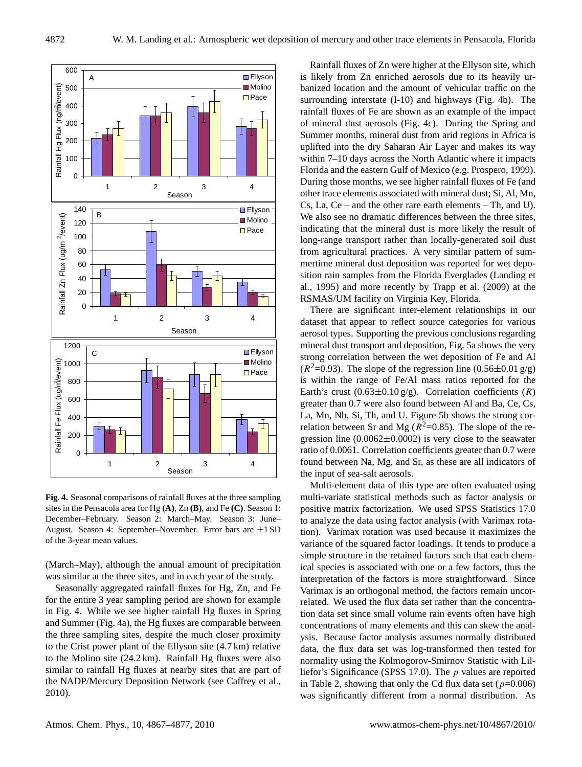

**Fig. 4.** Seasonal comparisons of rainfall fluxes at the three sampling sites in the Pensacola area for Hg **(A)**, Zn **(B)**, and Fe **(C)**. Season 1: December–February. Season 2: March–May. Season 3: June– August. Season 4: September–November. Error bars are ±1 SD of the 3-year mean values.

(March–May), although the annual amount of precipitation was similar at the three sites, and in each year of the study.

Seasonally aggregated rainfall fluxes for Hg, Zn, and Fe for the entire 3 year sampling period are shown for example in Fig. 4. While we see higher rainfall Hg fluxes in Spring and Summer (Fig. 4a), the Hg fluxes are comparable between the three sampling sites, despite the much closer proximity to the Crist power plant of the Ellyson site (4.7 km) relative to the Molino site (24.2 km). Rainfall Hg fluxes were also similar to rainfall Hg fluxes at nearby sites that are part of the NADP/Mercury Deposition Network (see Caffrey et al., 2010).

Rainfall fluxes of Zn were higher at the Ellyson site, which is likely from Zn enriched aerosols due to its heavily urbanized location and the amount of vehicular traffic on the surrounding interstate (I-10) and highways (Fig. 4b). The rainfall fluxes of Fe are shown as an example of the impact of mineral dust aerosols (Fig. 4c). During the Spring and Summer months, mineral dust from arid regions in Africa is uplifted into the dry Saharan Air Layer and makes its way within 7–10 days across the North Atlantic where it impacts Florida and the eastern Gulf of Mexico (e.g. Prospero, 1999). During those months, we see higher rainfall fluxes of Fe (and other trace elements associated with mineral dust; Si, Al, Mn, Cs, La, Ce – and the other rare earth elements – Th, and U). We also see no dramatic differences between the three sites, indicating that the mineral dust is more likely the result of long-range transport rather than locally-generated soil dust from agricultural practices. A very similar pattern of summertime mineral dust deposition was reported for wet deposition rain samples from the Florida Everglades (Landing et al., 1995) and more recently by Trapp et al. (2009) at the RSMAS/UM facility on Virginia Key, Florida.

There are significant inter-element relationships in our dataset that appear to reflect source categories for various aerosol types. Supporting the previous conclusions regarding mineral dust transport and deposition, Fig. 5a shows the very strong correlation between the wet deposition of Fe and Al  $(R^2=0.93)$ . The slope of the regression line  $(0.56\pm0.01 \text{ g/g})$ is within the range of Fe/Al mass ratios reported for the Earth's crust  $(0.63\pm0.10 \text{ g/g})$ . Correlation coefficients  $(R)$ greater than 0.7 were also found between Al and Ba, Ce, Cs, La, Mn, Nb, Si, Th, and U. Figure 5b shows the strong correlation between Sr and Mg ( $R^2$ =0.85). The slope of the regression line  $(0.0062 \pm 0.0002)$  is very close to the seawater ratio of 0.0061. Correlation coefficients greater than 0.7 were found between Na, Mg, and Sr, as these are all indicators of the input of sea-salt aerosols.

Multi-element data of this type are often evaluated using multi-variate statistical methods such as factor analysis or positive matrix factorization. We used SPSS Statistics 17.0 to analyze the data using factor analysis (with Varimax rotation). Varimax rotation was used because it maximizes the variance of the squared factor loadings. It tends to produce a simple structure in the retained factors such that each chemical species is associated with one or a few factors, thus the interpretation of the factors is more straightforward. Since Varimax is an orthogonal method, the factors remain uncorrelated. We used the flux data set rather than the concentration data set since small volume rain events often have high concentrations of many elements and this can skew the analysis. Because factor analysis assumes normally distributed data, the flux data set was log-transformed then tested for normality using the Kolmogorov-Smirnov Statistic with Lilliefor's Significance (SPSS 17.0). The p values are reported in Table 2, showing that only the Cd flux data set  $(p=0.006)$ was significantly different from a normal distribution. As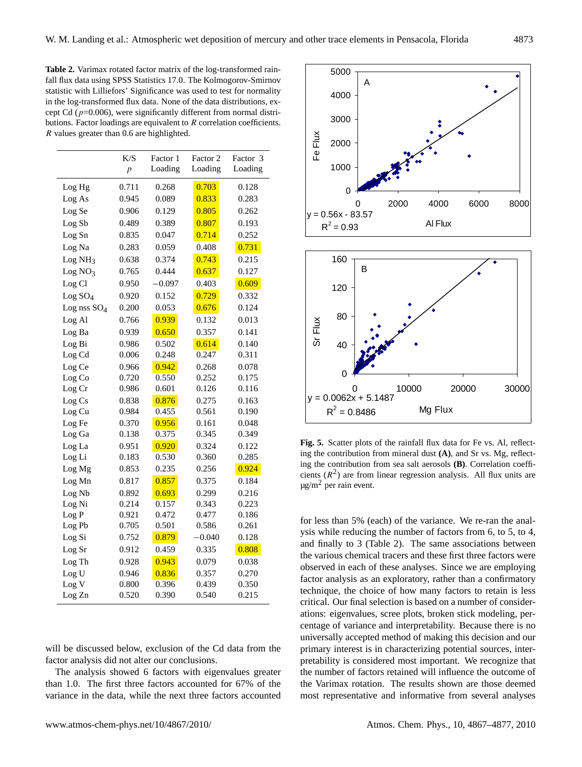**Table 2.** Varimax rotated factor matrix of the log-transformed rainfall flux data using SPSS Statistics 17.0. The Kolmogorov-Smirnov statistic with Lilliefors' Significance was used to test for normality in the log-transformed flux data. None of the data distributions, except Cd ( $p=0.006$ ), were significantly different from normal distributions. Factor loadings are equivalent to R correlation coefficients. R values greater than 0.6 are highlighted.

|                     | K/S<br>$\boldsymbol{p}$ | Factor 1<br>Loading | Factor 2<br>Loading | Factor 3<br>Loading |
|---------------------|-------------------------|---------------------|---------------------|---------------------|
| Log Hg              | 0.711                   | 0.268               | 0.703               | 0.128               |
| Log As              | 0.945                   | 0.089               | 0.833               | 0.283               |
| Log Se              | 0.906                   | 0.129               | 0.805               | 0.262               |
| Log Sb              | 0.489                   | 0.389               | 0.807               | 0.193               |
| Log Sn              | 0.835                   | 0.047               | 0.714               | 0.252               |
| Log Na              | 0.283                   | 0.059               | 0.408               | 0.731               |
| Log NH <sub>3</sub> | 0.638                   | 0.374               | 0.743               | 0.215               |
| Log NO <sub>3</sub> | 0.765                   | 0.444               | 0.637               | 0.127               |
| Log Cl              | 0.950                   | $-0.097$            | 0.403               | 0.609               |
| Log SO <sub>4</sub> | 0.920                   | 0.152               | 0.729               | 0.332               |
| Log nss $SO_4$      | 0.200                   | 0.053               | 0.676               | 0.124               |
| Log Al              | 0.766                   | 0.939               | 0.132               | 0.013               |
| Log Ba              | 0.939                   | 0.650               | 0.357               | 0.141               |
| Log Bi              | 0.986                   | 0.502               | 0.614               | 0.140               |
| Log Cd              | 0.006                   | 0.248               | 0.247               | 0.311               |
| Log Ce              | 0.966                   | 0.942               | 0.268               | 0.078               |
| Log Co              | 0.720                   | 0.550               | 0.252               | 0.175               |
| Log Cr              | 0.986                   | 0.601               | 0.126               | 0.116               |
| Log Cs              | 0.838                   | 0.876               | 0.275               | 0.163               |
| Log Cu              | 0.984                   | 0.455               | 0.561               | 0.190               |
| Log Fe              | 0.370                   | 0.956               | 0.161               | 0.048               |
| Log Ga              | 0.138                   | 0.375               | 0.345               | 0.349               |
| Log La              | 0.951                   | 0.920               | 0.324               | 0.122               |
| Log Li              | 0.183                   | 0.530               | 0.360               | 0.285               |
| Log Mg              | 0.853                   | 0.235               | 0.256               | 0.924               |
| Log Mn              | 0.817                   | 0.857               | 0.375               | 0.184               |
| Log Nb              | 0.892                   | 0.693               | 0.299               | 0.216               |
| Log Ni              | 0.214                   | 0.157               | 0.343               | 0.223               |
| Log P               | 0.921                   | 0.472               | 0.477               | 0.186               |
| Log Pb              | 0.705                   | 0.501               | 0.586               | 0.261               |
| Log Si              | 0.752                   | 0.879               | $-0.040$            | 0.128               |
| Log Sr              | 0.912                   | 0.459               | 0.335               | 0.808               |
| Log Th              | 0.928                   | 0.943               | 0.079               | 0.038               |
| Log U               | 0.946                   | 0.836               | 0.357               | 0.270               |
| Log V               | 0.800                   | 0.396               | 0.439               | 0.350               |
| Log Zn              | 0.520                   | 0.390               | 0.540               | 0.215               |

will be discussed below, exclusion of the Cd data from the factor analysis did not alter our conclusions.

The analysis showed 6 factors with eigenvalues greater than 1.0. The first three factors accounted for 67% of the variance in the data, while the next three factors accounted



**Fig. 5.** Scatter plots of the rainfall flux data for Fe vs. Al, reflecting the contribution from mineral dust **(A)**, and Sr vs. Mg, reflecting the contribution from sea salt aerosols **(B)**. Correlation coefficients  $(R<sup>2</sup>)$  are from linear regression analysis. All flux units are  $\mu$ g/m<sup>2</sup> per rain event.

for less than 5% (each) of the variance. We re-ran the analysis while reducing the number of factors from 6, to 5, to 4, and finally to 3 (Table 2). The same associations between the various chemical tracers and these first three factors were observed in each of these analyses. Since we are employing factor analysis as an exploratory, rather than a confirmatory technique, the choice of how many factors to retain is less critical. Our final selection is based on a number of considerations: eigenvalues, scree plots, broken stick modeling, percentage of variance and interpretability. Because there is no universally accepted method of making this decision and our primary interest is in characterizing potential sources, interpretability is considered most important. We recognize that the number of factors retained will influence the outcome of the Varimax rotation. The results shown are those deemed most representative and informative from several analyses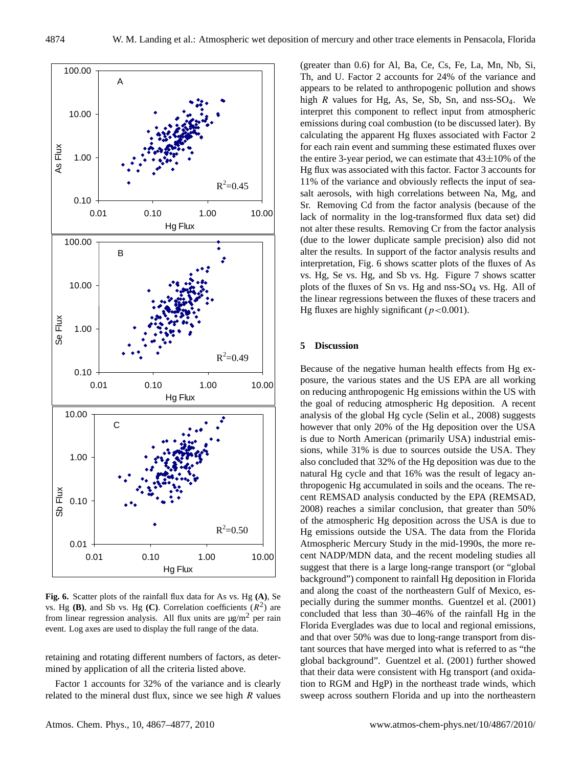

**Fig. 6.** Scatter plots of the rainfall flux data for As vs. Hg **(A)**, Se vs. Hg  $(B)$ , and Sb vs. Hg  $(C)$ . Correlation coefficients  $(R^2)$  are from linear regression analysis. All flux units are  $\mu$ g/m<sup>2</sup> per rain event. Log axes are used to display the full range of the data.

retaining and rotating different numbers of factors, as determined by application of all the criteria listed above.

Factor 1 accounts for 32% of the variance and is clearly related to the mineral dust flux, since we see high  $R$  values (greater than 0.6) for Al, Ba, Ce, Cs, Fe, La, Mn, Nb, Si, Th, and U. Factor 2 accounts for 24% of the variance and appears to be related to anthropogenic pollution and shows high  $R$  values for Hg, As, Se, Sb, Sn, and nss-SO<sub>4</sub>. We interpret this component to reflect input from atmospheric emissions during coal combustion (to be discussed later). By calculating the apparent Hg fluxes associated with Factor 2 for each rain event and summing these estimated fluxes over the entire 3-year period, we can estimate that  $43\pm10\%$  of the Hg flux was associated with this factor. Factor 3 accounts for 11% of the variance and obviously reflects the input of seasalt aerosols, with high correlations between Na, Mg, and Sr. Removing Cd from the factor analysis (because of the lack of normality in the log-transformed flux data set) did not alter these results. Removing Cr from the factor analysis (due to the lower duplicate sample precision) also did not alter the results. In support of the factor analysis results and interpretation, Fig. 6 shows scatter plots of the fluxes of As vs. Hg, Se vs. Hg, and Sb vs. Hg. Figure 7 shows scatter plots of the fluxes of Sn vs. Hg and nss-SO<sup>4</sup> vs. Hg. All of the linear regressions between the fluxes of these tracers and Hg fluxes are highly significant ( $p < 0.001$ ).

#### **5 Discussion**

Because of the negative human health effects from Hg exposure, the various states and the US EPA are all working on reducing anthropogenic Hg emissions within the US with the goal of reducing atmospheric Hg deposition. A recent analysis of the global Hg cycle (Selin et al., 2008) suggests however that only 20% of the Hg deposition over the USA is due to North American (primarily USA) industrial emissions, while 31% is due to sources outside the USA. They also concluded that 32% of the Hg deposition was due to the natural Hg cycle and that 16% was the result of legacy anthropogenic Hg accumulated in soils and the oceans. The recent REMSAD analysis conducted by the EPA (REMSAD, 2008) reaches a similar conclusion, that greater than 50% of the atmospheric Hg deposition across the USA is due to Hg emissions outside the USA. The data from the Florida Atmospheric Mercury Study in the mid-1990s, the more recent NADP/MDN data, and the recent modeling studies all suggest that there is a large long-range transport (or "global background") component to rainfall Hg deposition in Florida and along the coast of the northeastern Gulf of Mexico, especially during the summer months. Guentzel et al. (2001) concluded that less than 30–46% of the rainfall Hg in the Florida Everglades was due to local and regional emissions, and that over 50% was due to long-range transport from distant sources that have merged into what is referred to as "the global background". Guentzel et al. (2001) further showed that their data were consistent with Hg transport (and oxidation to RGM and HgP) in the northeast trade winds, which sweep across southern Florida and up into the northeastern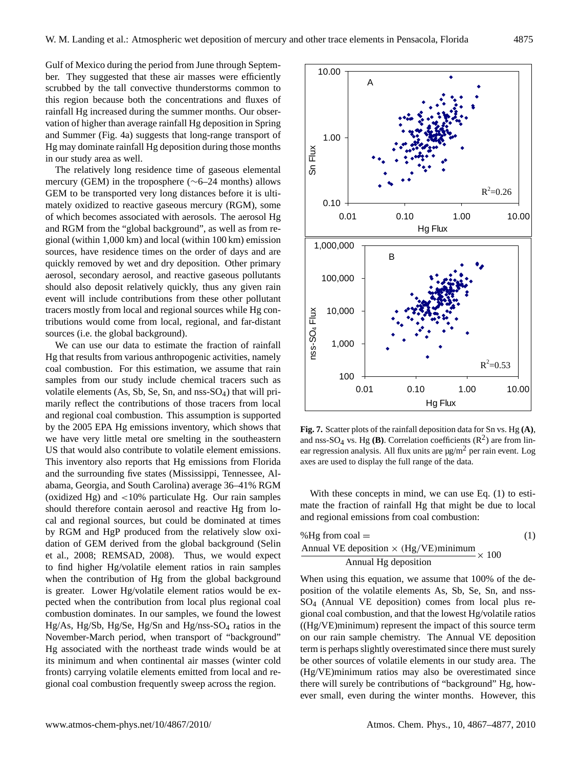Gulf of Mexico during the period from June through September. They suggested that these air masses were efficiently scrubbed by the tall convective thunderstorms common to this region because both the concentrations and fluxes of rainfall Hg increased during the summer months. Our observation of higher than average rainfall Hg deposition in Spring and Summer (Fig. 4a) suggests that long-range transport of Hg may dominate rainfall Hg deposition during those months in our study area as well.

The relatively long residence time of gaseous elemental mercury (GEM) in the troposphere (∼6–24 months) allows GEM to be transported very long distances before it is ultimately oxidized to reactive gaseous mercury (RGM), some of which becomes associated with aerosols. The aerosol Hg and RGM from the "global background", as well as from regional (within 1,000 km) and local (within 100 km) emission sources, have residence times on the order of days and are quickly removed by wet and dry deposition. Other primary aerosol, secondary aerosol, and reactive gaseous pollutants should also deposit relatively quickly, thus any given rain event will include contributions from these other pollutant tracers mostly from local and regional sources while Hg contributions would come from local, regional, and far-distant sources (i.e. the global background).

We can use our data to estimate the fraction of rainfall Hg that results from various anthropogenic activities, namely coal combustion. For this estimation, we assume that rain samples from our study include chemical tracers such as volatile elements (As, Sb, Se, Sn, and nss-SO4) that will primarily reflect the contributions of those tracers from local and regional coal combustion. This assumption is supported by the 2005 EPA Hg emissions inventory, which shows that we have very little metal ore smelting in the southeastern US that would also contribute to volatile element emissions. This inventory also reports that Hg emissions from Florida and the surrounding five states (Mississippi, Tennessee, Alabama, Georgia, and South Carolina) average 36–41% RGM (oxidized Hg) and <10% particulate Hg. Our rain samples should therefore contain aerosol and reactive Hg from local and regional sources, but could be dominated at times by RGM and HgP produced from the relatively slow oxidation of GEM derived from the global background (Selin et al., 2008; REMSAD, 2008). Thus, we would expect to find higher Hg/volatile element ratios in rain samples when the contribution of Hg from the global background is greater. Lower Hg/volatile element ratios would be expected when the contribution from local plus regional coal combustion dominates. In our samples, we found the lowest Hg/As, Hg/Sb, Hg/Se, Hg/Sn and Hg/nss-SO<sup>4</sup> ratios in the November-March period, when transport of "background" Hg associated with the northeast trade winds would be at its minimum and when continental air masses (winter cold fronts) carrying volatile elements emitted from local and regional coal combustion frequently sweep across the region.



**Fig. 7.** Scatter plots of the rainfall deposition data for Sn vs. Hg **(A)**, and nss-SO<sub>4</sub> vs. Hg **(B)**. Correlation coefficients  $(R^2)$  are from linear regression analysis. All flux units are  $\mu$ g/m<sup>2</sup> per rain event. Log axes are used to display the full range of the data.

With these concepts in mind, we can use Eq. (1) to estimate the fraction of rainfall Hg that might be due to local and regional emissions from coal combustion:

$$
\frac{\text{MHg from coal}}{\text{Annual VE deposition} \times (\text{Hg/VE}) \text{minimum}} \times 100
$$
\n
$$
\frac{\text{Annual WB deposition}}{\text{Annual Hg deposition}} \times 100
$$

When using this equation, we assume that 100% of the deposition of the volatile elements As, Sb, Se, Sn, and nss-SO<sup>4</sup> (Annual VE deposition) comes from local plus regional coal combustion, and that the lowest Hg/volatile ratios ((Hg/VE)minimum) represent the impact of this source term on our rain sample chemistry. The Annual VE deposition term is perhaps slightly overestimated since there must surely be other sources of volatile elements in our study area. The (Hg/VE)minimum ratios may also be overestimated since there will surely be contributions of "background" Hg, however small, even during the winter months. However, this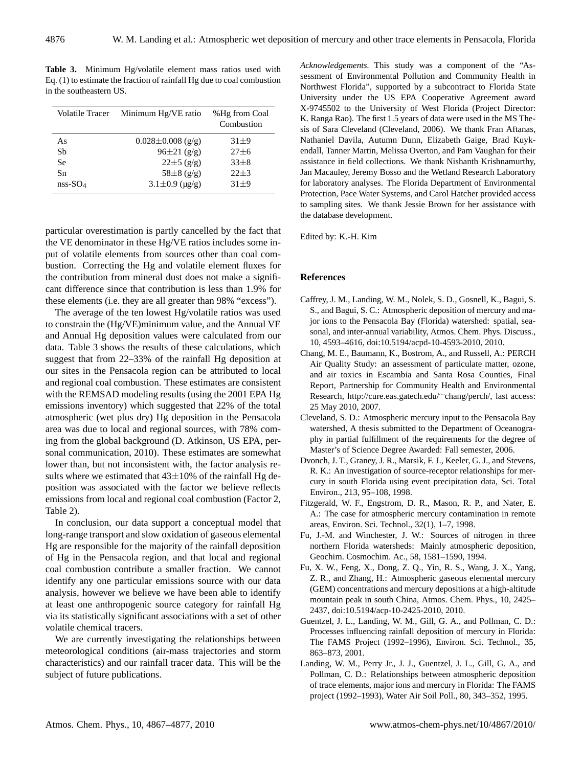**Table 3.** Minimum Hg/volatile element mass ratios used with Eq. (1) to estimate the fraction of rainfall Hg due to coal combustion in the southeastern US.

| <b>Volatile Tracer</b> | Minimum Hg/VE ratio     | %Hg from Coal<br>Combustion |
|------------------------|-------------------------|-----------------------------|
| As                     | $0.028 \pm 0.008$ (g/g) | $31 + 9$                    |
| Sb                     | $96\pm21$ (g/g)         | $27 + 6$                    |
| Se                     | $22\pm 5$ (g/g)         | $33 + 8$                    |
| Sn                     | $58\pm 8$ (g/g)         | $22 + 3$                    |
| $nss-SO4$              | $3.1 \pm 0.9$ (µg/g)    | $31 + 9$                    |

particular overestimation is partly cancelled by the fact that the VE denominator in these Hg/VE ratios includes some input of volatile elements from sources other than coal combustion. Correcting the Hg and volatile element fluxes for the contribution from mineral dust does not make a significant difference since that contribution is less than 1.9% for these elements (i.e. they are all greater than 98% "excess").

The average of the ten lowest Hg/volatile ratios was used to constrain the (Hg/VE)minimum value, and the Annual VE and Annual Hg deposition values were calculated from our data. Table 3 shows the results of these calculations, which suggest that from 22–33% of the rainfall Hg deposition at our sites in the Pensacola region can be attributed to local and regional coal combustion. These estimates are consistent with the REMSAD modeling results (using the 2001 EPA Hg emissions inventory) which suggested that 22% of the total atmospheric (wet plus dry) Hg deposition in the Pensacola area was due to local and regional sources, with 78% coming from the global background (D. Atkinson, US EPA, personal communication, 2010). These estimates are somewhat lower than, but not inconsistent with, the factor analysis results where we estimated that  $43\pm10\%$  of the rainfall Hg deposition was associated with the factor we believe reflects emissions from local and regional coal combustion (Factor 2, Table 2).

In conclusion, our data support a conceptual model that long-range transport and slow oxidation of gaseous elemental Hg are responsible for the majority of the rainfall deposition of Hg in the Pensacola region, and that local and regional coal combustion contribute a smaller fraction. We cannot identify any one particular emissions source with our data analysis, however we believe we have been able to identify at least one anthropogenic source category for rainfall Hg via its statistically significant associations with a set of other volatile chemical tracers.

We are currently investigating the relationships between meteorological conditions (air-mass trajectories and storm characteristics) and our rainfall tracer data. This will be the subject of future publications.

*Acknowledgements.* This study was a component of the "Assessment of Environmental Pollution and Community Health in Northwest Florida", supported by a subcontract to Florida State University under the US EPA Cooperative Agreement award X-9745502 to the University of West Florida (Project Director: K. Ranga Rao). The first 1.5 years of data were used in the MS Thesis of Sara Cleveland (Cleveland, 2006). We thank Fran Aftanas, Nathaniel Davila, Autumn Dunn, Elizabeth Gaige, Brad Kuykendall, Tanner Martin, Melissa Overton, and Pam Vaughan for their assistance in field collections. We thank Nishanth Krishnamurthy, Jan Macauley, Jeremy Bosso and the Wetland Research Laboratory for laboratory analyses. The Florida Department of Environmental Protection, Pace Water Systems, and Carol Hatcher provided access to sampling sites. We thank Jessie Brown for her assistance with the database development.

Edited by: K.-H. Kim

## **References**

- Caffrey, J. M., Landing, W. M., Nolek, S. D., Gosnell, K., Bagui, S. S., and Bagui, S. C.: Atmospheric deposition of mercury and major ions to the Pensacola Bay (Florida) watershed: spatial, seasonal, and inter-annual variability, Atmos. Chem. Phys. Discuss., 10, 4593–4616, doi:10.5194/acpd-10-4593-2010, 2010.
- Chang, M. E., Baumann, K., Bostrom, A., and Russell, A.: PERCH Air Quality Study: an assessment of particulate matter, ozone, and air toxics in Escambia and Santa Rosa Counties, Final Report, Partnership for Community Health and Environmental Research, [http://cure.eas.gatech.edu/](http://cure.eas.gatech.edu/~chang/perch/)∼chang/perch/, last access: 25 May 2010, 2007.
- Cleveland, S. D.: Atmospheric mercury input to the Pensacola Bay watershed, A thesis submitted to the Department of Oceanography in partial fulfillment of the requirements for the degree of Master's of Science Degree Awarded: Fall semester, 2006.
- Dvonch, J. T., Graney, J. R., Marsik, F. J., Keeler, G. J., and Stevens, R. K.: An investigation of source-receptor relationships for mercury in south Florida using event precipitation data, Sci. Total Environ., 213, 95–108, 1998.
- Fitzgerald, W. F., Engstrom, D. R., Mason, R. P., and Nater, E. A.: The case for atmospheric mercury contamination in remote areas, Environ. Sci. Technol., 32(1), 1–7, 1998.
- Fu, J.-M. and Winchester, J. W.: Sources of nitrogen in three northern Florida watersheds: Mainly atmospheric deposition, Geochim. Cosmochim. Ac., 58, 1581–1590, 1994.
- Fu, X. W., Feng, X., Dong, Z. Q., Yin, R. S., Wang, J. X., Yang, Z. R., and Zhang, H.: Atmospheric gaseous elemental mercury (GEM) concentrations and mercury depositions at a high-altitude mountain peak in south China, Atmos. Chem. Phys., 10, 2425– 2437, doi:10.5194/acp-10-2425-2010, 2010.
- Guentzel, J. L., Landing, W. M., Gill, G. A., and Pollman, C. D.: Processes influencing rainfall deposition of mercury in Florida: The FAMS Project (1992–1996), Environ. Sci. Technol., 35, 863–873, 2001.
- Landing, W. M., Perry Jr., J. J., Guentzel, J. L., Gill, G. A., and Pollman, C. D.: Relationships between atmospheric deposition of trace elements, major ions and mercury in Florida: The FAMS project (1992–1993), Water Air Soil Poll., 80, 343–352, 1995.